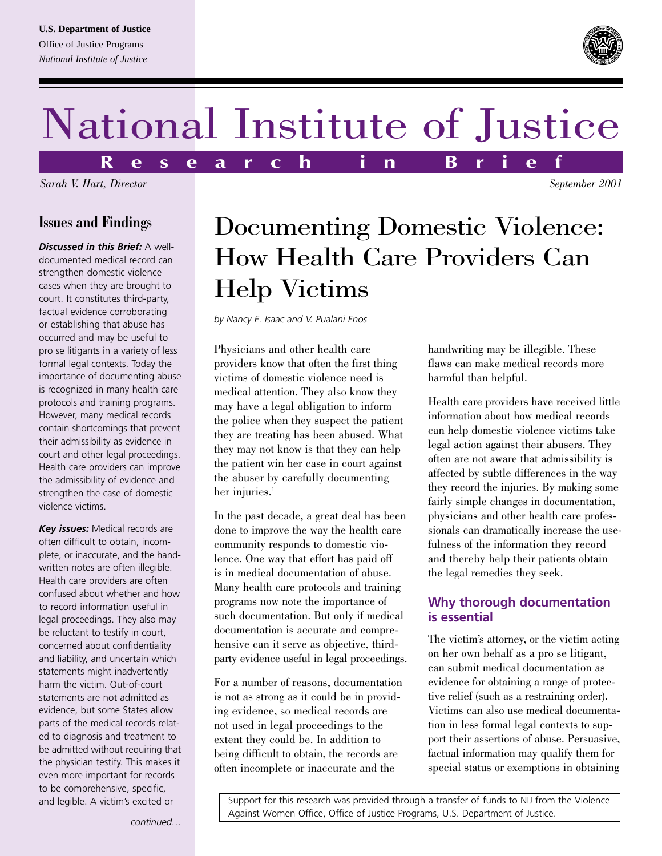#### **U.S. Department of Justice** Office of Justice Programs *National Institute of Justice*



*September 2001*

# National Institute of Justice

**R e s e a r c h i n B r i e f**

*Sarah V. Hart, Director*

#### **Issues and Findings**

*Discussed in this Brief:* A welldocumented medical record can strengthen domestic violence cases when they are brought to court. It constitutes third-party, factual evidence corroborating or establishing that abuse has occurred and may be useful to pro se litigants in a variety of less formal legal contexts. Today the importance of documenting abuse is recognized in many health care protocols and training programs. However, many medical records contain shortcomings that prevent their admissibility as evidence in court and other legal proceedings. Health care providers can improve the admissibility of evidence and strengthen the case of domestic violence victims.

*Key issues:* Medical records are often difficult to obtain, incomplete, or inaccurate, and the handwritten notes are often illegible. Health care providers are often confused about whether and how to record information useful in legal proceedings. They also may be reluctant to testify in court, concerned about confidentiality and liability, and uncertain which statements might inadvertently harm the victim. Out-of-court statements are not admitted as evidence, but some States allow parts of the medical records related to diagnosis and treatment to be admitted without requiring that the physician testify. This makes it even more important for records to be comprehensive, specific, and legible. A victim's excited or

## Documenting Domestic Violence: How Health Care Providers Can Help Victims

*by Nancy E. Isaac and V. Pualani Enos*

Physicians and other health care providers know that often the first thing victims of domestic violence need is medical attention. They also know they may have a legal obligation to inform the police when they suspect the patient they are treating has been abused. What they may not know is that they can help the patient win her case in court against the abuser by carefully documenting her injuries.<sup>1</sup>

In the past decade, a great deal has been done to improve the way the health care community responds to domestic violence. One way that effort has paid off is in medical documentation of abuse. Many health care protocols and training programs now note the importance of such documentation. But only if medical documentation is accurate and comprehensive can it serve as objective, thirdparty evidence useful in legal proceedings.

For a number of reasons, documentation is not as strong as it could be in providing evidence, so medical records are not used in legal proceedings to the extent they could be. In addition to being difficult to obtain, the records are often incomplete or inaccurate and the

handwriting may be illegible. These flaws can make medical records more harmful than helpful.

Health care providers have received little information about how medical records can help domestic violence victims take legal action against their abusers. They often are not aware that admissibility is affected by subtle differences in the way they record the injuries. By making some fairly simple changes in documentation, physicians and other health care professionals can dramatically increase the usefulness of the information they record and thereby help their patients obtain the legal remedies they seek.

#### **Why thorough documentation is essential**

The victim's attorney, or the victim acting on her own behalf as a pro se litigant, can submit medical documentation as evidence for obtaining a range of protective relief (such as a restraining order). Victims can also use medical documentation in less formal legal contexts to support their assertions of abuse. Persuasive, factual information may qualify them for special status or exemptions in obtaining

Support for this research was provided through a transfer of funds to NIJ from the Violence Against Women Office, Office of Justice Programs, U.S. Department of Justice.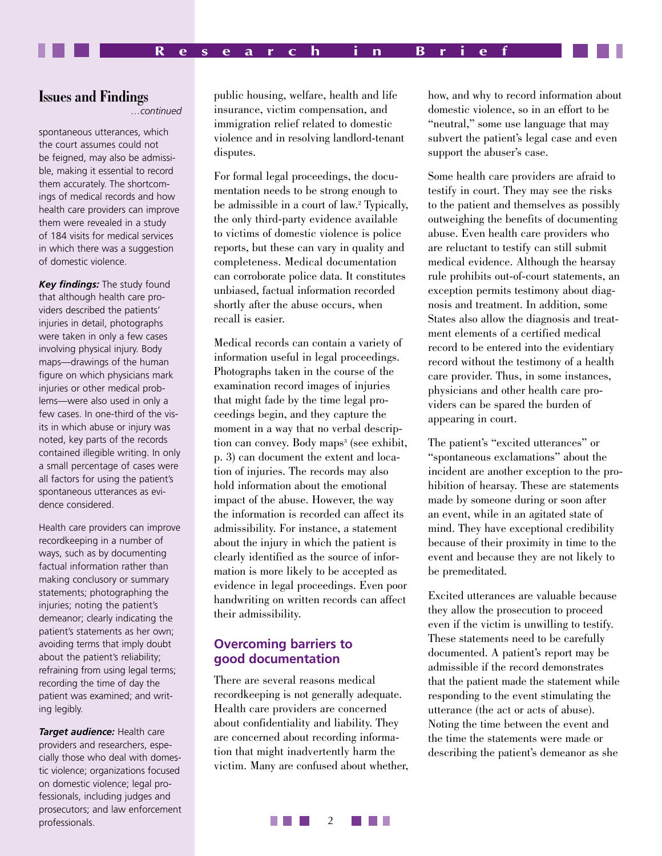#### **R e s e a r c h i n B r i e f**

### **Issues and Findings**

*…continued*

spontaneous utterances, which the court assumes could not be feigned, may also be admissible, making it essential to record them accurately. The shortcomings of medical records and how health care providers can improve them were revealed in a study of 184 visits for medical services in which there was a suggestion of domestic violence.

*Key findings:* The study found that although health care providers described the patients' injuries in detail, photographs were taken in only a few cases involving physical injury. Body maps—drawings of the human figure on which physicians mark injuries or other medical problems—were also used in only a few cases. In one-third of the visits in which abuse or injury was noted, key parts of the records contained illegible writing. In only a small percentage of cases were all factors for using the patient's spontaneous utterances as evidence considered.

Health care providers can improve recordkeeping in a number of ways, such as by documenting factual information rather than making conclusory or summary statements; photographing the injuries; noting the patient's demeanor; clearly indicating the patient's statements as her own; avoiding terms that imply doubt about the patient's reliability; refraining from using legal terms; recording the time of day the patient was examined; and writing legibly.

*Target audience:* Health care providers and researchers, especially those who deal with domestic violence; organizations focused on domestic violence; legal professionals, including judges and prosecutors; and law enforcement professionals.

public housing, welfare, health and life insurance, victim compensation, and immigration relief related to domestic violence and in resolving landlord-tenant disputes.

For formal legal proceedings, the documentation needs to be strong enough to be admissible in a court of law.2 Typically, the only third-party evidence available to victims of domestic violence is police reports, but these can vary in quality and completeness. Medical documentation can corroborate police data. It constitutes unbiased, factual information recorded shortly after the abuse occurs, when recall is easier.

Medical records can contain a variety of information useful in legal proceedings. Photographs taken in the course of the examination record images of injuries that might fade by the time legal proceedings begin, and they capture the moment in a way that no verbal description can convey. Body maps<sup>3</sup> (see exhibit, p. 3) can document the extent and location of injuries. The records may also hold information about the emotional impact of the abuse. However, the way the information is recorded can affect its admissibility. For instance, a statement about the injury in which the patient is clearly identified as the source of information is more likely to be accepted as evidence in legal proceedings. Even poor handwriting on written records can affect their admissibility.

#### **Overcoming barriers to good documentation**

There are several reasons medical recordkeeping is not generally adequate. Health care providers are concerned about confidentiality and liability. They are concerned about recording information that might inadvertently harm the victim. Many are confused about whether, how, and why to record information about domestic violence, so in an effort to be "neutral," some use language that may subvert the patient's legal case and even support the abuser's case.

Some health care providers are afraid to testify in court. They may see the risks to the patient and themselves as possibly outweighing the benefits of documenting abuse. Even health care providers who are reluctant to testify can still submit medical evidence. Although the hearsay rule prohibits out-of-court statements, an exception permits testimony about diagnosis and treatment. In addition, some States also allow the diagnosis and treatment elements of a certified medical record to be entered into the evidentiary record without the testimony of a health care provider. Thus, in some instances, physicians and other health care providers can be spared the burden of appearing in court.

The patient's "excited utterances" or "spontaneous exclamations" about the incident are another exception to the prohibition of hearsay. These are statements made by someone during or soon after an event, while in an agitated state of mind. They have exceptional credibility because of their proximity in time to the event and because they are not likely to be premeditated.

Excited utterances are valuable because they allow the prosecution to proceed even if the victim is unwilling to testify. These statements need to be carefully documented. A patient's report may be admissible if the record demonstrates that the patient made the statement while responding to the event stimulating the utterance (the act or acts of abuse). Noting the time between the event and the time the statements were made or describing the patient's demeanor as she

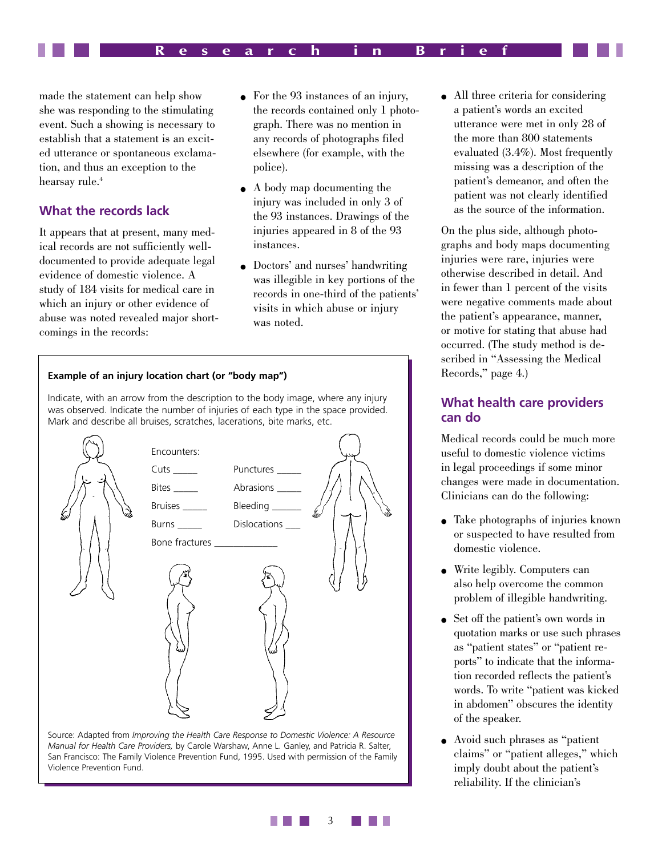made the statement can help show she was responding to the stimulating event. Such a showing is necessary to establish that a statement is an excited utterance or spontaneous exclamation, and thus an exception to the hearsay rule.<sup>4</sup>

#### **What the records lack**

It appears that at present, many medical records are not sufficiently welldocumented to provide adequate legal evidence of domestic violence. A study of 184 visits for medical care in which an injury or other evidence of abuse was noted revealed major shortcomings in the records:

- For the 93 instances of an injury, the records contained only 1 photograph. There was no mention in any records of photographs filed elsewhere (for example, with the police).
- A body map documenting the injury was included in only 3 of the 93 instances. Drawings of the injuries appeared in 8 of the 93 instances.
- Doctors' and nurses' handwriting was illegible in key portions of the records in one-third of the patients' visits in which abuse or injury was noted.

#### **Example of an injury location chart (or "body map")**

Indicate, with an arrow from the description to the body image, where any injury was observed. Indicate the number of injuries of each type in the space provided. Mark and describe all bruises, scratches, lacerations, bite marks, etc.





• All three criteria for considering a patient's words an excited utterance were met in only 28 of the more than 800 statements evaluated (3.4%). Most frequently missing was a description of the patient's demeanor, and often the patient was not clearly identified as the source of the information.

On the plus side, although photographs and body maps documenting injuries were rare, injuries were otherwise described in detail. And in fewer than 1 percent of the visits were negative comments made about the patient's appearance, manner, or motive for stating that abuse had occurred. (The study method is described in "Assessing the Medical Records," page 4.)

#### **What health care providers can do**

Medical records could be much more useful to domestic violence victims in legal proceedings if some minor changes were made in documentation. Clinicians can do the following:

- Take photographs of injuries known or suspected to have resulted from domestic violence.
- Write legibly. Computers can also help overcome the common problem of illegible handwriting.
- Set off the patient's own words in quotation marks or use such phrases as "patient states" or "patient reports" to indicate that the information recorded reflects the patient's words. To write "patient was kicked in abdomen" obscures the identity of the speaker.
- Avoid such phrases as "patient" claims" or "patient alleges," which imply doubt about the patient's reliability. If the clinician's

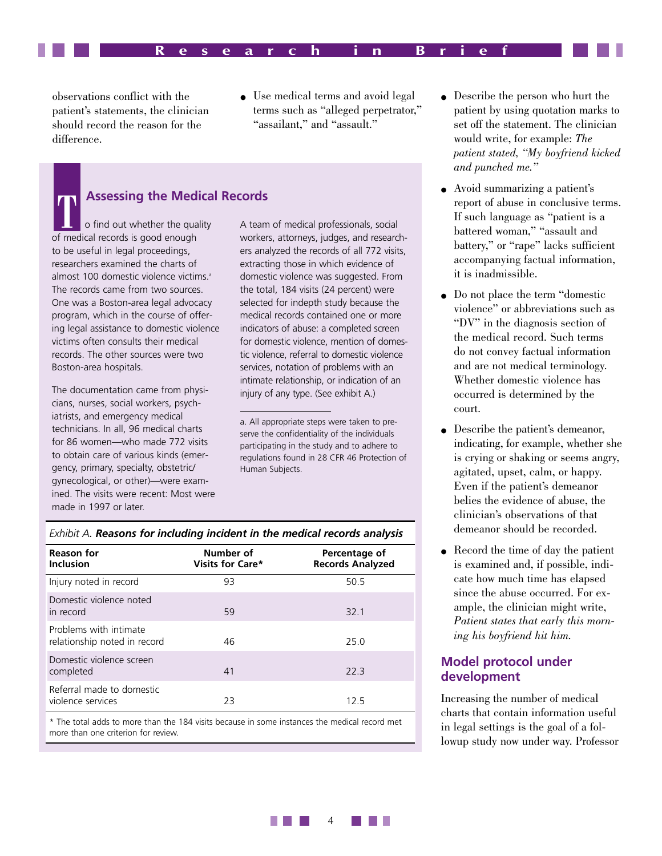observations conflict with the patient's statements, the clinician should record the reason for the difference.

• Use medical terms and avoid legal terms such as "alleged perpetrator," "assailant," and "assault."

#### **T Assessing the Medical Records**

o find out whether the quality of medical records is good enough to be useful in legal proceedings, researchers examined the charts of almost 100 domestic violence victims.<sup>a</sup> The records came from two sources. One was a Boston-area legal advocacy program, which in the course of offering legal assistance to domestic violence victims often consults their medical records. The other sources were two Boston-area hospitals.

The documentation came from physicians, nurses, social workers, psychiatrists, and emergency medical technicians. In all, 96 medical charts for 86 women—who made 772 visits to obtain care of various kinds (emergency, primary, specialty, obstetric/ gynecological, or other)—were examined. The visits were recent: Most were made in 1997 or later.

A team of medical professionals, social workers, attorneys, judges, and researchers analyzed the records of all 772 visits, extracting those in which evidence of domestic violence was suggested. From the total, 184 visits (24 percent) were selected for indepth study because the medical records contained one or more indicators of abuse: a completed screen for domestic violence, mention of domestic violence, referral to domestic violence services, notation of problems with an intimate relationship, or indication of an injury of any type. (See exhibit A.)

a. All appropriate steps were taken to preserve the confidentiality of the individuals participating in the study and to adhere to regulations found in 28 CFR 46 Protection of Human Subjects.

4

| Exhibit A. Reasons for including incident in the medical records analysis |                               |                                          |
|---------------------------------------------------------------------------|-------------------------------|------------------------------------------|
| <b>Reason for</b><br><b>Inclusion</b>                                     | Number of<br>Visits for Care* | Percentage of<br><b>Records Analyzed</b> |
| Injury noted in record                                                    | 93                            | 50.5                                     |
| Domestic violence noted<br>in record                                      | 59                            | 32.1                                     |
| Problems with intimate<br>relationship noted in record                    | 46                            | 250                                      |
| Domestic violence screen<br>completed                                     | 41                            | 22.3                                     |
| Referral made to domestic<br>violence services                            | 23                            | 12.5                                     |

\* The total adds to more than the 184 visits because in some instances the medical record met more than one criterion for review.

- Describe the person who hurt the patient by using quotation marks to set off the statement. The clinician would write, for example: *The patient stated, "My boyfriend kicked and punched me."*
- Avoid summarizing a patient's report of abuse in conclusive terms. If such language as "patient is a battered woman," "assault and battery," or "rape" lacks sufficient accompanying factual information, it is inadmissible.
- Do not place the term "domestic violence" or abbreviations such as "DV" in the diagnosis section of the medical record. Such terms do not convey factual information and are not medical terminology. Whether domestic violence has occurred is determined by the court.
- Describe the patient's demeanor, indicating, for example, whether she is crying or shaking or seems angry, agitated, upset, calm, or happy. Even if the patient's demeanor belies the evidence of abuse, the clinician's observations of that demeanor should be recorded.
- Record the time of day the patient is examined and, if possible, indicate how much time has elapsed since the abuse occurred. For example, the clinician might write, *Patient states that early this morning his boyfriend hit him.*

#### **Model protocol under development**

Increasing the number of medical charts that contain information useful in legal settings is the goal of a followup study now under way. Professor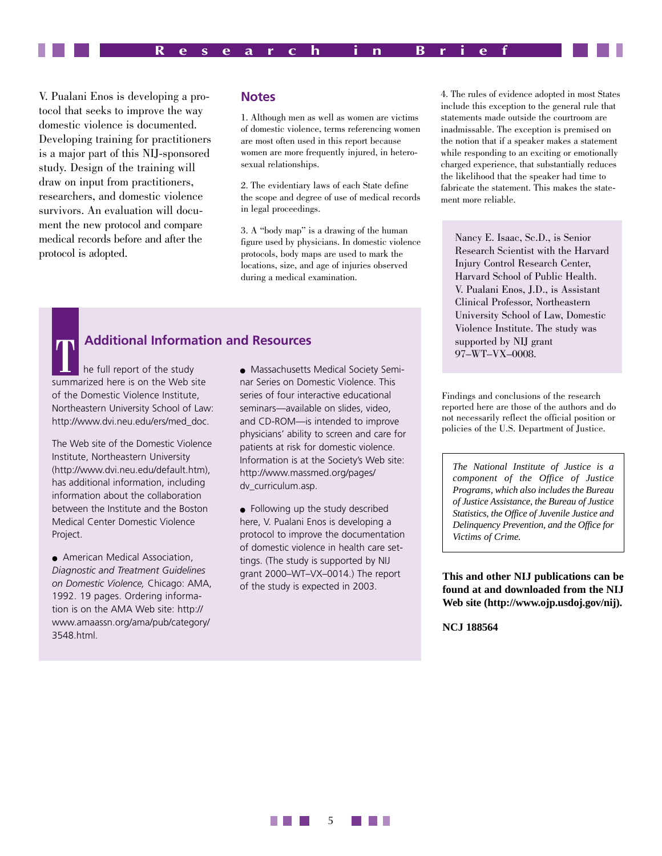V. Pualani Enos is developing a protocol that seeks to improve the way domestic violence is documented. Developing training for practitioners is a major part of this NIJ-sponsored study. Design of the training will draw on input from practitioners, researchers, and domestic violence survivors. An evaluation will document the new protocol and compare medical records before and after the protocol is adopted.

#### **Notes**

1. Although men as well as women are victims of domestic violence, terms referencing women are most often used in this report because women are more frequently injured, in heterosexual relationships.

2. The evidentiary laws of each State define the scope and degree of use of medical records in legal proceedings.

3. A "body map" is a drawing of the human figure used by physicians. In domestic violence protocols, body maps are used to mark the locations, size, and age of injuries observed during a medical examination.

#### **T Additional Information and Resources**

he full report of the study summarized here is on the Web site of the Domestic Violence Institute, Northeastern University School of Law: http://www.dvi.neu.edu/ers/med\_doc.

The Web site of the Domestic Violence Institute, Northeastern University (http://www.dvi.neu.edu/default.htm), has additional information, including information about the collaboration between the Institute and the Boston Medical Center Domestic Violence Project.

• American Medical Association, *Diagnostic and Treatment Guidelines on Domestic Violence,* Chicago: AMA, 1992. 19 pages. Ordering information is on the AMA Web site: http:// www.amaassn.org/ama/pub/category/ 3548.html.

● Massachusetts Medical Society Seminar Series on Domestic Violence. This series of four interactive educational seminars—available on slides, video, and CD-ROM—is intended to improve physicians' ability to screen and care for patients at risk for domestic violence. Information is at the Society's Web site: http://www.massmed.org/pages/ dv\_curriculum.asp.

● Following up the study described here, V. Pualani Enos is developing a protocol to improve the documentation of domestic violence in health care settings. (The study is supported by NIJ grant 2000–WT–VX–0014.) The report of the study is expected in 2003.

4. The rules of evidence adopted in most States include this exception to the general rule that statements made outside the courtroom are inadmissable. The exception is premised on the notion that if a speaker makes a statement while responding to an exciting or emotionally charged experience, that substantially reduces the likelihood that the speaker had time to fabricate the statement. This makes the statement more reliable.

Nancy E. Isaac, Sc.D., is Senior Research Scientist with the Harvard Injury Control Research Center, Harvard School of Public Health. V. Pualani Enos, J.D., is Assistant Clinical Professor, Northeastern University School of Law, Domestic Violence Institute. The study was supported by NIJ grant 97–WT–VX–0008.

Findings and conclusions of the research reported here are those of the authors and do not necessarily reflect the official position or policies of the U.S. Department of Justice.

*The National Institute of Justice is a component of the Office of Justice Programs, which also includes the Bureau of Justice Assistance, the Bureau of Justice Statistics, the Office of Juvenile Justice and Delinquency Prevention, and the Office for Victims of Crime.*

**This and other NIJ publications can be found at and downloaded from the NIJ Web site (http://www.ojp.usdoj.gov/nij).**

**NCJ 188564**